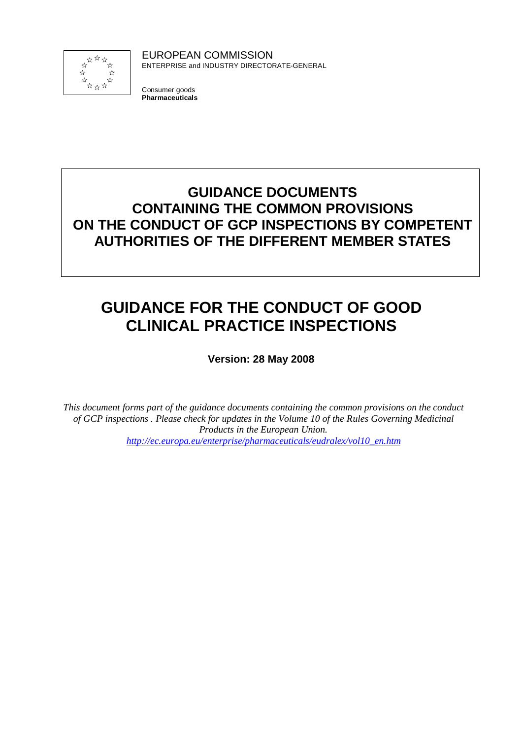

EUROPEAN COMMISSION ENTERPRISE and INDUSTRY DIRECTORATE-GENERAL

Consumer goods **Pharmaceuticals**

# **GUIDANCE DOCUMENTS CONTAINING THE COMMON PROVISIONS ON THE CONDUCT OF GCP INSPECTIONS BY COMPETENT AUTHORITIES OF THE DIFFERENT MEMBER STATES**

# **GUIDANCE FOR THE CONDUCT OF GOOD CLINICAL PRACTICE INSPECTIONS**

**Version: 28 May 2008**

*This document forms part of the guidance documents containing the common provisions on the conduct of GCP inspections . Please check for updates in the Volume 10 of the Rules Governing Medicinal Products in the European Union. http://ec.europa.eu/enterprise/pharmaceuticals/eudralex/vol10\_en.htm*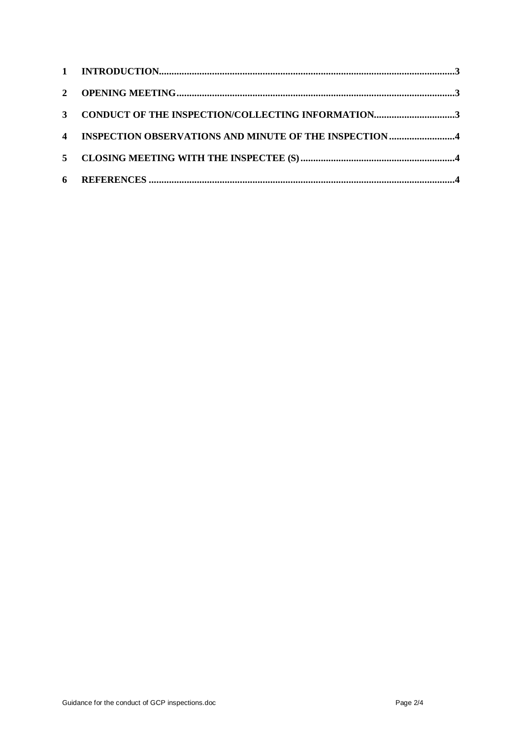| $\mathbf{3}$   | CONDUCT OF THE INSPECTION/COLLECTING INFORMATION3        |
|----------------|----------------------------------------------------------|
|                | 4 INSPECTION OBSERVATIONS AND MINUTE OF THE INSPECTION 4 |
| $\overline{5}$ |                                                          |
| 6              |                                                          |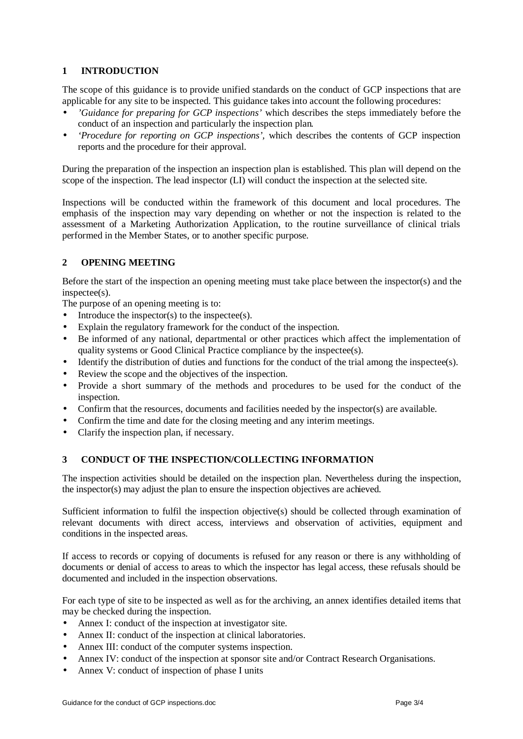# **1 INTRODUCTION**

The scope of this guidance is to provide unified standards on the conduct of GCP inspections that are applicable for any site to be inspected. This guidance takes into account the following procedures:

- *'Guidance for preparing for GCP inspections'* which describes the steps immediately before the conduct of an inspection and particularly the inspection plan*.*
- *'Procedure for reporting on GCP inspections',* which describes the contents of GCP inspection reports and the procedure for their approval.

During the preparation of the inspection an inspection plan is established. This plan will depend on the scope of the inspection. The lead inspector (LI) will conduct the inspection at the selected site.

Inspections will be conducted within the framework of this document and local procedures. The emphasis of the inspection may vary depending on whether or not the inspection is related to the assessment of a Marketing Authorization Application, to the routine surveillance of clinical trials performed in the Member States, or to another specific purpose.

## **2 OPENING MEETING**

Before the start of the inspection an opening meeting must take place between the inspector(s) and the inspectee(s).

The purpose of an opening meeting is to:

- Introduce the inspector(s) to the inspectee(s).
- Explain the regulatory framework for the conduct of the inspection.
- Be informed of any national, departmental or other practices which affect the implementation of quality systems or Good Clinical Practice compliance by the inspectee(s).
- Identify the distribution of duties and functions for the conduct of the trial among the inspectee(s).
- Review the scope and the objectives of the inspection.
- Provide a short summary of the methods and procedures to be used for the conduct of the inspection.
- Confirm that the resources, documents and facilities needed by the inspector(s) are available.
- Confirm the time and date for the closing meeting and any interim meetings.
- Clarify the inspection plan, if necessary.

## **3 CONDUCT OF THE INSPECTION/COLLECTING INFORMATION**

The inspection activities should be detailed on the inspection plan. Nevertheless during the inspection, the inspector(s) may adjust the plan to ensure the inspection objectives are achieved.

Sufficient information to fulfil the inspection objective(s) should be collected through examination of relevant documents with direct access, interviews and observation of activities, equipment and conditions in the inspected areas.

If access to records or copying of documents is refused for any reason or there is any withholding of documents or denial of access to areas to which the inspector has legal access, these refusals should be documented and included in the inspection observations.

For each type of site to be inspected as well as for the archiving, an annex identifies detailed items that may be checked during the inspection.

- Annex I: conduct of the inspection at investigator site.
- Annex II: conduct of the inspection at clinical laboratories.
- Annex III: conduct of the computer systems inspection.
- Annex IV: conduct of the inspection at sponsor site and/or Contract Research Organisations.
- Annex V: conduct of inspection of phase I units